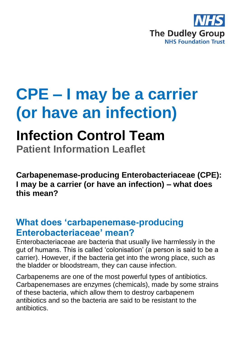

# **CPE – I may be a carrier (or have an infection)**

## **Infection Control Team**

**Patient Information Leaflet**

**Carbapenemase-producing Enterobacteriaceae (CPE): I may be a carrier (or have an infection) – what does this mean?** 

### **What does 'carbapenemase-producing Enterobacteriaceae' mean?**

Enterobacteriaceae are bacteria that usually live harmlessly in the gut of humans. This is called 'colonisation' (a person is said to be a carrier). However, if the bacteria get into the wrong place, such as the bladder or bloodstream, they can cause infection.

Carbapenems are one of the most powerful types of antibiotics. Carbapenemases are enzymes (chemicals), made by some strains of these bacteria, which allow them to destroy carbapenem antibiotics and so the bacteria are said to be resistant to the antibiotics.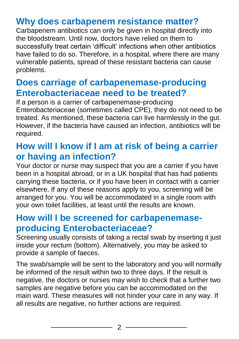## **Why does carbapenem resistance matter?**

Carbapenem antibiotics can only be given in hospital directly into the bloodstream. Until now, doctors have relied on them to successfully treat certain 'difficult' infections when other antibiotics have failed to do so. Therefore, in a hospital, where there are many vulnerable patients, spread of these resistant bacteria can cause problems.

#### **Does carriage of carbapenemase-producing Enterobacteriaceae need to be treated?**

If a person is a carrier of carbapenemase-producing Enterobacteriaceae (sometimes called CPE), they do not need to be treated. As mentioned, these bacteria can live harmlessly in the gut. However, if the bacteria have caused an infection, antibiotics will be required.

#### **How will I know if I am at risk of being a carrier or having an infection?**

Your doctor or nurse may suspect that you are a carrier if you have been in a hospital abroad, or in a UK hospital that has had patients carrying these bacteria, or if you have been in contact with a carrier elsewhere. If any of these reasons apply to you, screening will be arranged for you. You will be accommodated in a single room with your own toilet facilities, at least until the results are known.

#### **How will I be screened for carbapenemaseproducing Enterobacteriaceae?**

Screening usually consists of taking a rectal swab by inserting it just inside your rectum (bottom). Alternatively, you may be asked to provide a sample of faeces.

The swab/sample will be sent to the laboratory and you will normally be informed of the result within two to three days. If the result is negative, the doctors or nurses may wish to check that a further two samples are negative before you can be accommodated on the main ward. These measures will not hinder your care in any way. If all results are negative, no further actions are required.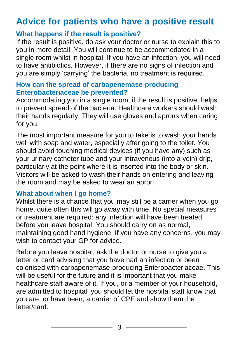## **Advice for patients who have a positive result**

#### **What happens if the result is positive?**

If the result is positive, do ask your doctor or nurse to explain this to you in more detail. You will continue to be accommodated in a single room whilst in hospital. If you have an infection, you will need to have antibiotics. However, if there are no signs of infection and you are simply 'carrying' the bacteria, no treatment is required.

#### **How can the spread of carbapenemase-producing Enterobacteriaceae be prevented?**

Accommodating you in a single room, if the result is positive, helps to prevent spread of the bacteria. Healthcare workers should wash their hands regularly. They will use gloves and aprons when caring for you.

The most important measure for you to take is to wash your hands well with soap and water, especially after going to the toilet. You should avoid touching medical devices (if you have any) such as your urinary catheter tube and your intravenous (into a vein) drip, particularly at the point where it is inserted into the body or skin. Visitors will be asked to wash their hands on entering and leaving the room and may be asked to wear an apron.

#### **What about when I go home?**

Whilst there is a chance that you may still be a carrier when you go home, quite often this will go away with time. No special measures or treatment are required; any infection will have been treated before you leave hospital. You should carry on as normal, maintaining good hand hygiene. If you have any concerns, you may wish to contact your GP for advice.

Before you leave hospital, ask the doctor or nurse to give you a letter or card advising that you have had an infection or been colonised with carbapenemase-producing Enterobacteriaceae. This will be useful for the future and it is important that you make healthcare staff aware of it. If you, or a member of your household, are admitted to hospital, you should let the hospital staff know that you are, or have been, a carrier of CPE and show them the letter/card.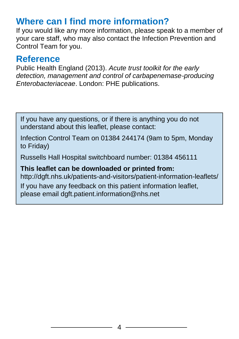### **Where can I find more information?**

If you would like any more information, please speak to a member of your care staff, who may also contact the Infection Prevention and Control Team for you.

#### **Reference**

Public Health England (2013). *Acute trust toolkit for the early detection, management and control of carbapenemase-producing Enterobacteriaceae*. London: PHE publications.

If you have any questions, or if there is anything you do not understand about this leaflet, please contact:

Infection Control Team on 01384 244174 (9am to 5pm, Monday to Friday)

Russells Hall Hospital switchboard number: 01384 456111

**This leaflet can be downloaded or printed from:** http://dgft.nhs.uk/patients-and-visitors/patient-information-leaflets/ If you have any feedback on this patient information leaflet,

please email dgft.patient.information@nhs.net